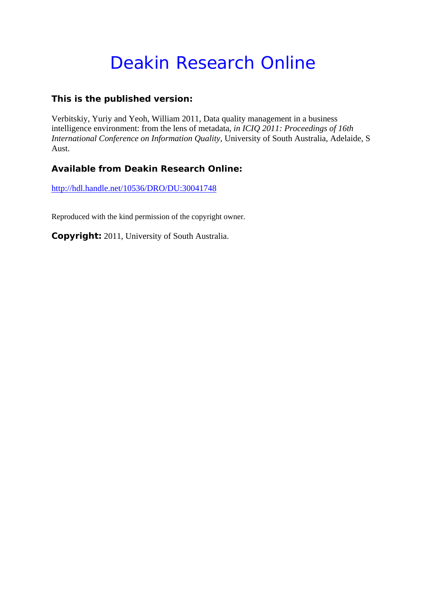# Deakin Research Online

## **This is the published version:**

Verbitskiy, Yuriy and Yeoh, William 2011, Data quality management in a business intelligence environment: from the lens of metadata*, in ICIQ 2011: Proceedings of 16th International Conference on Information Quality*, University of South Australia, Adelaide, S Aust.

## **Available from Deakin Research Online:**

http://hdl.handle.net/10536/DRO/DU:30041748

Reproduced with the kind permission of the copyright owner.

**Copyright:** 2011, University of South Australia.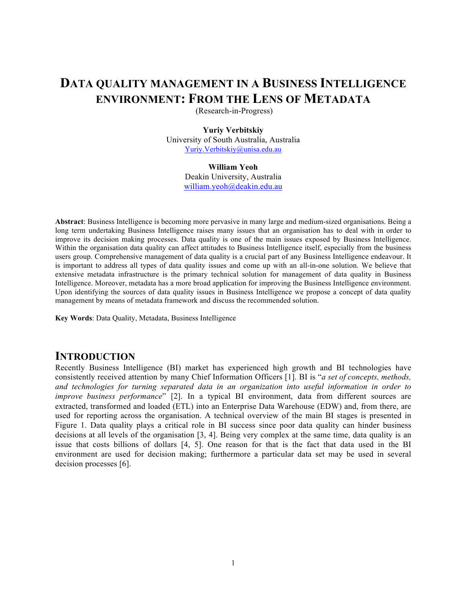# **DATA QUALITY MANAGEMENT IN A BUSINESS INTELLIGENCE ENVIRONMENT: FROM THE LENS OF METADATA**

(Research-in-Progress)

#### **Yuriy Verbitskiy**

University of South Australia, Australia Yuriy.Verbitskiy@unisa.edu.au

#### **William Yeoh**

Deakin University, Australia william.yeoh@deakin.edu.au

**Abstract**: Business Intelligence is becoming more pervasive in many large and medium-sized organisations. Being a long term undertaking Business Intelligence raises many issues that an organisation has to deal with in order to improve its decision making processes. Data quality is one of the main issues exposed by Business Intelligence. Within the organisation data quality can affect attitudes to Business Intelligence itself, especially from the business users group. Comprehensive management of data quality is a crucial part of any Business Intelligence endeavour. It is important to address all types of data quality issues and come up with an all-in-one solution. We believe that extensive metadata infrastructure is the primary technical solution for management of data quality in Business Intelligence. Moreover, metadata has a more broad application for improving the Business Intelligence environment. Upon identifying the sources of data quality issues in Business Intelligence we propose a concept of data quality management by means of metadata framework and discuss the recommended solution.

**Key Words**: Data Quality, Metadata, Business Intelligence

## **INTRODUCTION**

Recently Business Intelligence (BI) market has experienced high growth and BI technologies have consistently received attention by many Chief Information Officers [1]. BI is "*a set of concepts, methods, and technologies for turning separated data in an organization into useful information in order to improve business performance*" [2]. In a typical BI environment, data from different sources are extracted, transformed and loaded (ETL) into an Enterprise Data Warehouse (EDW) and, from there, are used for reporting across the organisation. A technical overview of the main BI stages is presented in Figure 1. Data quality plays a critical role in BI success since poor data quality can hinder business decisions at all levels of the organisation [3, 4]. Being very complex at the same time, data quality is an issue that costs billions of dollars [4, 5]. One reason for that is the fact that data used in the BI environment are used for decision making; furthermore a particular data set may be used in several decision processes [6].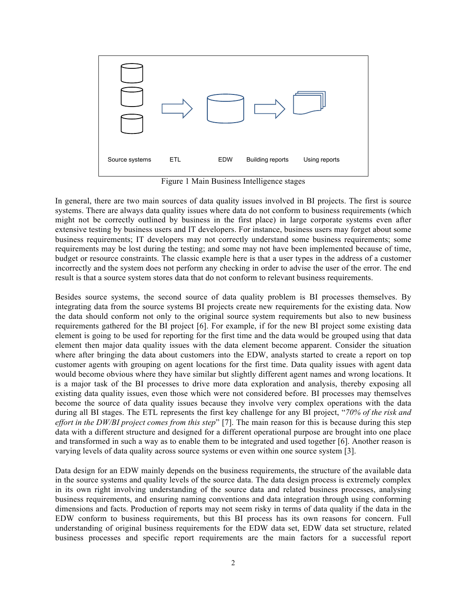

Figure 1 Main Business Intelligence stages

In general, there are two main sources of data quality issues involved in BI projects. The first is source systems. There are always data quality issues where data do not conform to business requirements (which might not be correctly outlined by business in the first place) in large corporate systems even after extensive testing by business users and IT developers. For instance, business users may forget about some business requirements; IT developers may not correctly understand some business requirements; some requirements may be lost during the testing; and some may not have been implemented because of time, budget or resource constraints. The classic example here is that a user types in the address of a customer incorrectly and the system does not perform any checking in order to advise the user of the error. The end result is that a source system stores data that do not conform to relevant business requirements.

Besides source systems, the second source of data quality problem is BI processes themselves. By integrating data from the source systems BI projects create new requirements for the existing data. Now the data should conform not only to the original source system requirements but also to new business requirements gathered for the BI project [6]. For example, if for the new BI project some existing data element is going to be used for reporting for the first time and the data would be grouped using that data element then major data quality issues with the data element become apparent. Consider the situation where after bringing the data about customers into the EDW, analysts started to create a report on top customer agents with grouping on agent locations for the first time. Data quality issues with agent data would become obvious where they have similar but slightly different agent names and wrong locations. It is a major task of the BI processes to drive more data exploration and analysis, thereby exposing all existing data quality issues, even those which were not considered before. BI processes may themselves become the source of data quality issues because they involve very complex operations with the data during all BI stages. The ETL represents the first key challenge for any BI project, "*70% of the risk and effort in the DW/BI project comes from this step*" [7]. The main reason for this is because during this step data with a different structure and designed for a different operational purpose are brought into one place and transformed in such a way as to enable them to be integrated and used together [6]. Another reason is varying levels of data quality across source systems or even within one source system [3].

Data design for an EDW mainly depends on the business requirements, the structure of the available data in the source systems and quality levels of the source data. The data design process is extremely complex in its own right involving understanding of the source data and related business processes, analysing business requirements, and ensuring naming conventions and data integration through using conforming dimensions and facts. Production of reports may not seem risky in terms of data quality if the data in the EDW conform to business requirements, but this BI process has its own reasons for concern. Full understanding of original business requirements for the EDW data set, EDW data set structure, related business processes and specific report requirements are the main factors for a successful report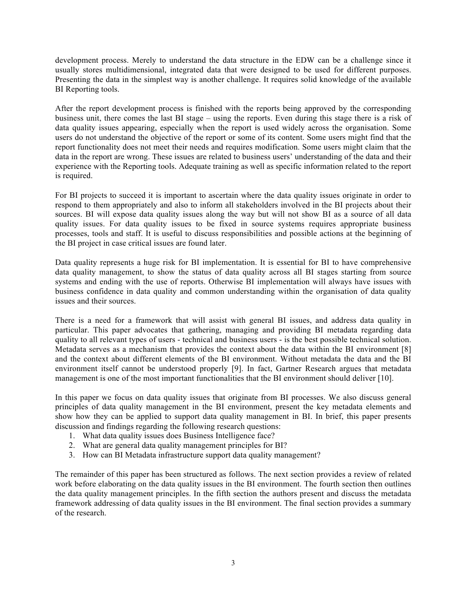development process. Merely to understand the data structure in the EDW can be a challenge since it usually stores multidimensional, integrated data that were designed to be used for different purposes. Presenting the data in the simplest way is another challenge. It requires solid knowledge of the available BI Reporting tools.

After the report development process is finished with the reports being approved by the corresponding business unit, there comes the last BI stage – using the reports. Even during this stage there is a risk of data quality issues appearing, especially when the report is used widely across the organisation. Some users do not understand the objective of the report or some of its content. Some users might find that the report functionality does not meet their needs and requires modification. Some users might claim that the data in the report are wrong. These issues are related to business users' understanding of the data and their experience with the Reporting tools. Adequate training as well as specific information related to the report is required.

For BI projects to succeed it is important to ascertain where the data quality issues originate in order to respond to them appropriately and also to inform all stakeholders involved in the BI projects about their sources. BI will expose data quality issues along the way but will not show BI as a source of all data quality issues. For data quality issues to be fixed in source systems requires appropriate business processes, tools and staff. It is useful to discuss responsibilities and possible actions at the beginning of the BI project in case critical issues are found later.

Data quality represents a huge risk for BI implementation. It is essential for BI to have comprehensive data quality management, to show the status of data quality across all BI stages starting from source systems and ending with the use of reports. Otherwise BI implementation will always have issues with business confidence in data quality and common understanding within the organisation of data quality issues and their sources.

There is a need for a framework that will assist with general BI issues, and address data quality in particular. This paper advocates that gathering, managing and providing BI metadata regarding data quality to all relevant types of users - technical and business users - is the best possible technical solution. Metadata serves as a mechanism that provides the context about the data within the BI environment [8] and the context about different elements of the BI environment. Without metadata the data and the BI environment itself cannot be understood properly [9]. In fact, Gartner Research argues that metadata management is one of the most important functionalities that the BI environment should deliver [10].

In this paper we focus on data quality issues that originate from BI processes. We also discuss general principles of data quality management in the BI environment, present the key metadata elements and show how they can be applied to support data quality management in BI. In brief, this paper presents discussion and findings regarding the following research questions:

- 1. What data quality issues does Business Intelligence face?
- 2. What are general data quality management principles for BI?
- 3. How can BI Metadata infrastructure support data quality management?

The remainder of this paper has been structured as follows. The next section provides a review of related work before elaborating on the data quality issues in the BI environment. The fourth section then outlines the data quality management principles. In the fifth section the authors present and discuss the metadata framework addressing of data quality issues in the BI environment. The final section provides a summary of the research.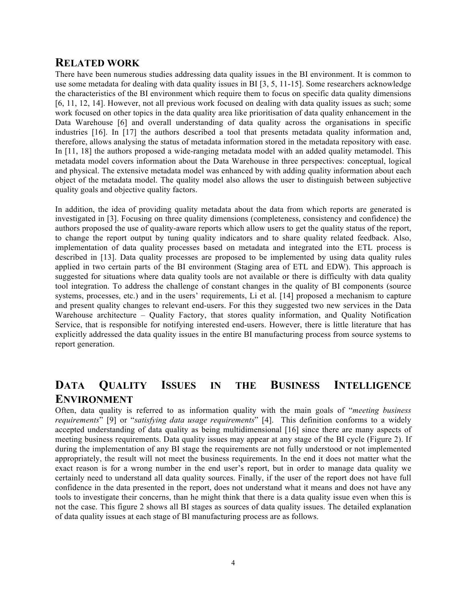## **RELATED WORK**

There have been numerous studies addressing data quality issues in the BI environment. It is common to use some metadata for dealing with data quality issues in BI [3, 5, 11-15]. Some researchers acknowledge the characteristics of the BI environment which require them to focus on specific data quality dimensions [6, 11, 12, 14]. However, not all previous work focused on dealing with data quality issues as such; some work focused on other topics in the data quality area like prioritisation of data quality enhancement in the Data Warehouse [6] and overall understanding of data quality across the organisations in specific industries [16]. In [17] the authors described a tool that presents metadata quality information and, therefore, allows analysing the status of metadata information stored in the metadata repository with ease. In [11, 18] the authors proposed a wide-ranging metadata model with an added quality metamodel. This metadata model covers information about the Data Warehouse in three perspectives: conceptual, logical and physical. The extensive metadata model was enhanced by with adding quality information about each object of the metadata model. The quality model also allows the user to distinguish between subjective quality goals and objective quality factors.

In addition, the idea of providing quality metadata about the data from which reports are generated is investigated in [3]. Focusing on three quality dimensions (completeness, consistency and confidence) the authors proposed the use of quality-aware reports which allow users to get the quality status of the report, to change the report output by tuning quality indicators and to share quality related feedback. Also, implementation of data quality processes based on metadata and integrated into the ETL process is described in [13]. Data quality processes are proposed to be implemented by using data quality rules applied in two certain parts of the BI environment (Staging area of ETL and EDW). This approach is suggested for situations where data quality tools are not available or there is difficulty with data quality tool integration. To address the challenge of constant changes in the quality of BI components (source systems, processes, etc.) and in the users' requirements, Li et al. [14] proposed a mechanism to capture and present quality changes to relevant end-users. For this they suggested two new services in the Data Warehouse architecture – Quality Factory, that stores quality information, and Quality Notification Service, that is responsible for notifying interested end-users. However, there is little literature that has explicitly addressed the data quality issues in the entire BI manufacturing process from source systems to report generation.

# **DATA QUALITY ISSUES IN THE BUSINESS INTELLIGENCE ENVIRONMENT**

Often, data quality is referred to as information quality with the main goals of "*meeting business requirements*" [9] or "*satisfying data usage requirements*" [4]. This definition conforms to a widely accepted understanding of data quality as being multidimensional [16] since there are many aspects of meeting business requirements. Data quality issues may appear at any stage of the BI cycle (Figure 2). If during the implementation of any BI stage the requirements are not fully understood or not implemented appropriately, the result will not meet the business requirements. In the end it does not matter what the exact reason is for a wrong number in the end user's report, but in order to manage data quality we certainly need to understand all data quality sources. Finally, if the user of the report does not have full confidence in the data presented in the report, does not understand what it means and does not have any tools to investigate their concerns, than he might think that there is a data quality issue even when this is not the case. This figure 2 shows all BI stages as sources of data quality issues. The detailed explanation of data quality issues at each stage of BI manufacturing process are as follows.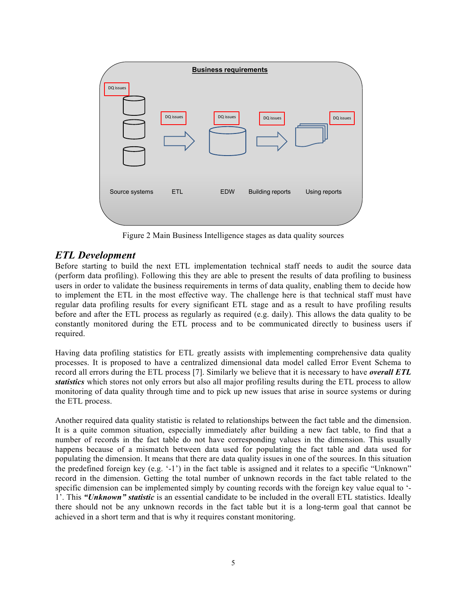

Figure 2 Main Business Intelligence stages as data quality sources

## *ETL Development*

Before starting to build the next ETL implementation technical staff needs to audit the source data (perform data profiling). Following this they are able to present the results of data profiling to business users in order to validate the business requirements in terms of data quality, enabling them to decide how to implement the ETL in the most effective way. The challenge here is that technical staff must have regular data profiling results for every significant ETL stage and as a result to have profiling results before and after the ETL process as regularly as required (e.g. daily). This allows the data quality to be constantly monitored during the ETL process and to be communicated directly to business users if required.

Having data profiling statistics for ETL greatly assists with implementing comprehensive data quality processes. It is proposed to have a centralized dimensional data model called Error Event Schema to record all errors during the ETL process [7]. Similarly we believe that it is necessary to have *overall ETL statistics* which stores not only errors but also all major profiling results during the ETL process to allow monitoring of data quality through time and to pick up new issues that arise in source systems or during the ETL process.

Another required data quality statistic is related to relationships between the fact table and the dimension. It is a quite common situation, especially immediately after building a new fact table, to find that a number of records in the fact table do not have corresponding values in the dimension. This usually happens because of a mismatch between data used for populating the fact table and data used for populating the dimension. It means that there are data quality issues in one of the sources. In this situation the predefined foreign key (e.g. '-1') in the fact table is assigned and it relates to a specific "Unknown" record in the dimension. Getting the total number of unknown records in the fact table related to the specific dimension can be implemented simply by counting records with the foreign key value equal to '- 1'. This *"Unknown" statistic* is an essential candidate to be included in the overall ETL statistics. Ideally there should not be any unknown records in the fact table but it is a long-term goal that cannot be achieved in a short term and that is why it requires constant monitoring.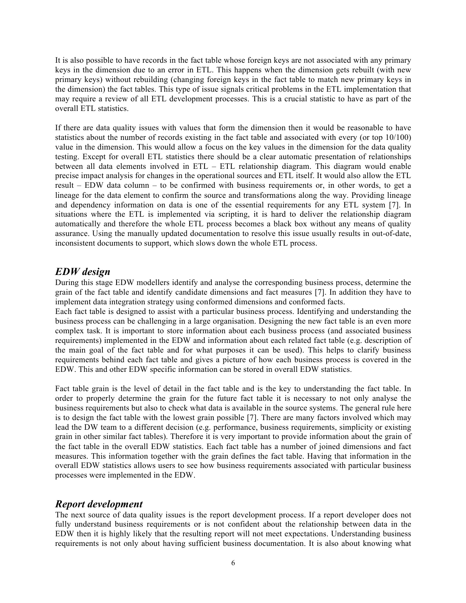It is also possible to have records in the fact table whose foreign keys are not associated with any primary keys in the dimension due to an error in ETL. This happens when the dimension gets rebuilt (with new primary keys) without rebuilding (changing foreign keys in the fact table to match new primary keys in the dimension) the fact tables. This type of issue signals critical problems in the ETL implementation that may require a review of all ETL development processes. This is a crucial statistic to have as part of the overall ETL statistics.

If there are data quality issues with values that form the dimension then it would be reasonable to have statistics about the number of records existing in the fact table and associated with every (or top 10/100) value in the dimension. This would allow a focus on the key values in the dimension for the data quality testing. Except for overall ETL statistics there should be a clear automatic presentation of relationships between all data elements involved in ETL – ETL relationship diagram. This diagram would enable precise impact analysis for changes in the operational sources and ETL itself. It would also allow the ETL result – EDW data column – to be confirmed with business requirements or, in other words, to get a lineage for the data element to confirm the source and transformations along the way. Providing lineage and dependency information on data is one of the essential requirements for any ETL system [7]. In situations where the ETL is implemented via scripting, it is hard to deliver the relationship diagram automatically and therefore the whole ETL process becomes a black box without any means of quality assurance. Using the manually updated documentation to resolve this issue usually results in out-of-date, inconsistent documents to support, which slows down the whole ETL process.

## *EDW design*

During this stage EDW modellers identify and analyse the corresponding business process, determine the grain of the fact table and identify candidate dimensions and fact measures [7]. In addition they have to implement data integration strategy using conformed dimensions and conformed facts.

Each fact table is designed to assist with a particular business process. Identifying and understanding the business process can be challenging in a large organisation. Designing the new fact table is an even more complex task. It is important to store information about each business process (and associated business requirements) implemented in the EDW and information about each related fact table (e.g. description of the main goal of the fact table and for what purposes it can be used). This helps to clarify business requirements behind each fact table and gives a picture of how each business process is covered in the EDW. This and other EDW specific information can be stored in overall EDW statistics.

Fact table grain is the level of detail in the fact table and is the key to understanding the fact table. In order to properly determine the grain for the future fact table it is necessary to not only analyse the business requirements but also to check what data is available in the source systems. The general rule here is to design the fact table with the lowest grain possible [7]. There are many factors involved which may lead the DW team to a different decision (e.g. performance, business requirements, simplicity or existing grain in other similar fact tables). Therefore it is very important to provide information about the grain of the fact table in the overall EDW statistics. Each fact table has a number of joined dimensions and fact measures. This information together with the grain defines the fact table. Having that information in the overall EDW statistics allows users to see how business requirements associated with particular business processes were implemented in the EDW.

## *Report development*

The next source of data quality issues is the report development process. If a report developer does not fully understand business requirements or is not confident about the relationship between data in the EDW then it is highly likely that the resulting report will not meet expectations. Understanding business requirements is not only about having sufficient business documentation. It is also about knowing what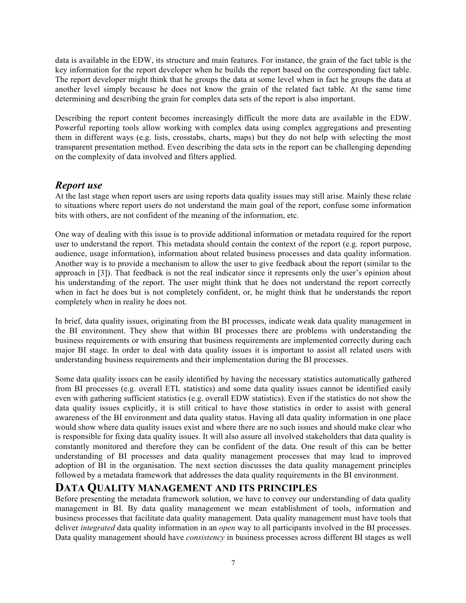data is available in the EDW, its structure and main features. For instance, the grain of the fact table is the key information for the report developer when he builds the report based on the corresponding fact table. The report developer might think that he groups the data at some level when in fact he groups the data at another level simply because he does not know the grain of the related fact table. At the same time determining and describing the grain for complex data sets of the report is also important.

Describing the report content becomes increasingly difficult the more data are available in the EDW. Powerful reporting tools allow working with complex data using complex aggregations and presenting them in different ways (e.g. lists, crosstabs, charts, maps) but they do not help with selecting the most transparent presentation method. Even describing the data sets in the report can be challenging depending on the complexity of data involved and filters applied.

## *Report use*

At the last stage when report users are using reports data quality issues may still arise. Mainly these relate to situations where report users do not understand the main goal of the report, confuse some information bits with others, are not confident of the meaning of the information, etc.

One way of dealing with this issue is to provide additional information or metadata required for the report user to understand the report. This metadata should contain the context of the report (e.g. report purpose, audience, usage information), information about related business processes and data quality information. Another way is to provide a mechanism to allow the user to give feedback about the report (similar to the approach in [3]). That feedback is not the real indicator since it represents only the user's opinion about his understanding of the report. The user might think that he does not understand the report correctly when in fact he does but is not completely confident, or, he might think that he understands the report completely when in reality he does not.

In brief, data quality issues, originating from the BI processes, indicate weak data quality management in the BI environment. They show that within BI processes there are problems with understanding the business requirements or with ensuring that business requirements are implemented correctly during each major BI stage. In order to deal with data quality issues it is important to assist all related users with understanding business requirements and their implementation during the BI processes.

Some data quality issues can be easily identified by having the necessary statistics automatically gathered from BI processes (e.g. overall ETL statistics) and some data quality issues cannot be identified easily even with gathering sufficient statistics (e.g. overall EDW statistics). Even if the statistics do not show the data quality issues explicitly, it is still critical to have those statistics in order to assist with general awareness of the BI environment and data quality status. Having all data quality information in one place would show where data quality issues exist and where there are no such issues and should make clear who is responsible for fixing data quality issues. It will also assure all involved stakeholders that data quality is constantly monitored and therefore they can be confident of the data. One result of this can be better understanding of BI processes and data quality management processes that may lead to improved adoption of BI in the organisation. The next section discusses the data quality management principles followed by a metadata framework that addresses the data quality requirements in the BI environment.

## **DATA QUALITY MANAGEMENT AND ITS PRINCIPLES**

Before presenting the metadata framework solution, we have to convey our understanding of data quality management in BI. By data quality management we mean establishment of tools, information and business processes that facilitate data quality management. Data quality management must have tools that deliver *integrated* data quality information in an *open* way to all participants involved in the BI processes. Data quality management should have *consistency* in business processes across different BI stages as well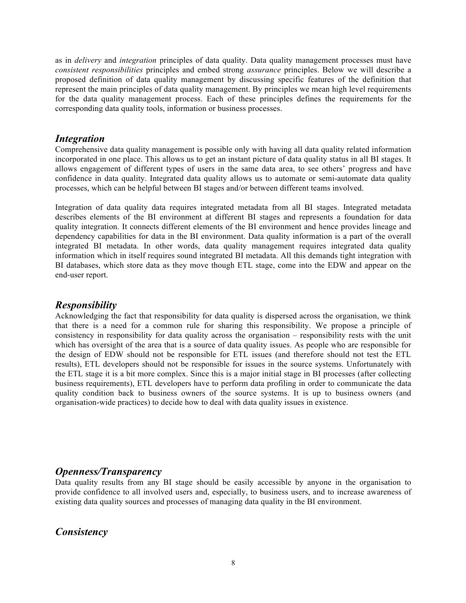as in *delivery* and *integration* principles of data quality. Data quality management processes must have *consistent responsibilities* principles and embed strong *assurance* principles. Below we will describe a proposed definition of data quality management by discussing specific features of the definition that represent the main principles of data quality management. By principles we mean high level requirements for the data quality management process. Each of these principles defines the requirements for the corresponding data quality tools, information or business processes.

## *Integration*

Comprehensive data quality management is possible only with having all data quality related information incorporated in one place. This allows us to get an instant picture of data quality status in all BI stages. It allows engagement of different types of users in the same data area, to see others' progress and have confidence in data quality. Integrated data quality allows us to automate or semi-automate data quality processes, which can be helpful between BI stages and/or between different teams involved.

Integration of data quality data requires integrated metadata from all BI stages. Integrated metadata describes elements of the BI environment at different BI stages and represents a foundation for data quality integration. It connects different elements of the BI environment and hence provides lineage and dependency capabilities for data in the BI environment. Data quality information is a part of the overall integrated BI metadata. In other words, data quality management requires integrated data quality information which in itself requires sound integrated BI metadata. All this demands tight integration with BI databases, which store data as they move though ETL stage, come into the EDW and appear on the end-user report.

## *Responsibility*

Acknowledging the fact that responsibility for data quality is dispersed across the organisation, we think that there is a need for a common rule for sharing this responsibility. We propose a principle of consistency in responsibility for data quality across the organisation – responsibility rests with the unit which has oversight of the area that is a source of data quality issues. As people who are responsible for the design of EDW should not be responsible for ETL issues (and therefore should not test the ETL results), ETL developers should not be responsible for issues in the source systems. Unfortunately with the ETL stage it is a bit more complex. Since this is a major initial stage in BI processes (after collecting business requirements), ETL developers have to perform data profiling in order to communicate the data quality condition back to business owners of the source systems. It is up to business owners (and organisation-wide practices) to decide how to deal with data quality issues in existence.

## *Openness/Transparency*

Data quality results from any BI stage should be easily accessible by anyone in the organisation to provide confidence to all involved users and, especially, to business users, and to increase awareness of existing data quality sources and processes of managing data quality in the BI environment.

## *Consistency*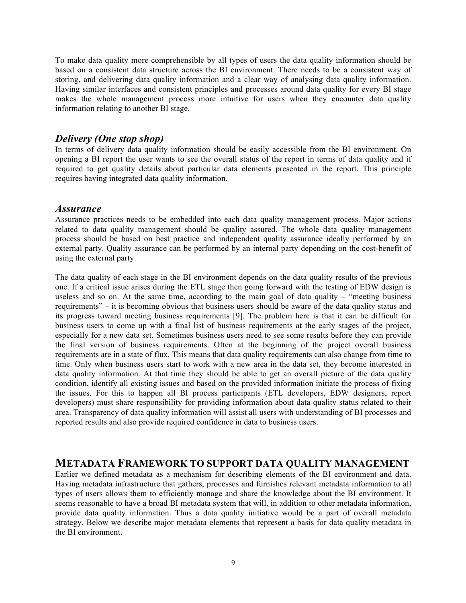To make data quality more comprehensible by all types of users the data quality information should be based on a consistent data structure across the BI environment. There needs to be a consistent way of storing, and delivering data quality information and a clear way of analysing data quality information. Having similar interfaces and consistent principles and processes around data quality for every BI stage makes the whole management process more intuitive for users when they encounter data quality information relating to another BI stage.

## *Delivery (One stop shop)*

In terms of delivery data quality information should be easily accessible from the BI environment. On opening a BI report the user wants to see the overall status of the report in terms of data quality and if required to get quality details about particular data elements presented in the report. This principle requires having integrated data quality information.

#### *Assurance*

Assurance practices needs to be embedded into each data quality management process. Major actions related to data quality management should be quality assured. The whole data quality management process should be based on best practice and independent quality assurance ideally performed by an external party. Quality assurance can be performed by an internal party depending on the cost-benefit of using the external party.

The data quality of each stage in the BI environment depends on the data quality results of the previous one. If a critical issue arises during the ETL stage then going forward with the testing of EDW design is useless and so on. At the same time, according to the main goal of data quality – "meeting business requirements" – it is becoming obvious that business users should be aware of the data quality status and its progress toward meeting business requirements [9]. The problem here is that it can be difficult for business users to come up with a final list of business requirements at the early stages of the project, especially for a new data set. Sometimes business users need to see some results before they can provide the final version of business requirements. Often at the beginning of the project overall business requirements are in a state of flux. This means that data quality requirements can also change from time to time. Only when business users start to work with a new area in the data set, they become interested in data quality information. At that time they should be able to get an overall picture of the data quality condition, identify all existing issues and based on the provided information initiate the process of fixing the issues. For this to happen all BI process participants (ETL developers, EDW designers, report developers) must share responsibility for providing information about data quality status related to their area. Transparency of data quality information will assist all users with understanding of BI processes and reported results and also provide required confidence in data to business users.

## **METADATA FRAMEWORK TO SUPPORT DATA QUALITY MANAGEMENT**

Earlier we defined metadata as a mechanism for describing elements of the BI environment and data. Having metadata infrastructure that gathers, processes and furnishes relevant metadata information to all types of users allows them to efficiently manage and share the knowledge about the BI environment. It seems reasonable to have a broad BI metadata system that will, in addition to other metadata information, provide data quality information. Thus a data quality initiative would be a part of overall metadata strategy. Below we describe major metadata elements that represent a basis for data quality metadata in the BI environment.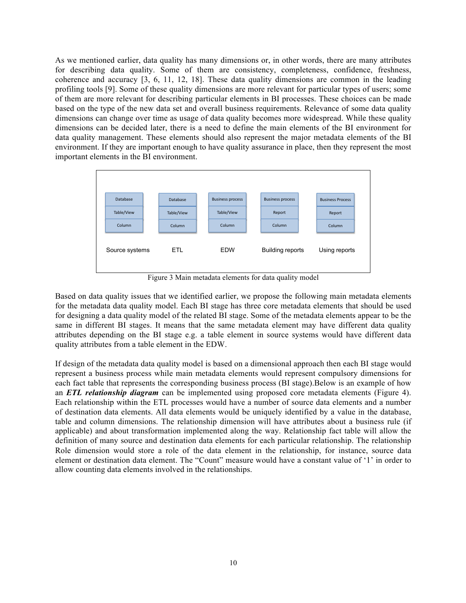As we mentioned earlier, data quality has many dimensions or, in other words, there are many attributes for describing data quality. Some of them are consistency, completeness, confidence, freshness, coherence and accuracy [3, 6, 11, 12, 18]. These data quality dimensions are common in the leading profiling tools [9]. Some of these quality dimensions are more relevant for particular types of users; some of them are more relevant for describing particular elements in BI processes. These choices can be made based on the type of the new data set and overall business requirements. Relevance of some data quality dimensions can change over time as usage of data quality becomes more widespread. While these quality dimensions can be decided later, there is a need to define the main elements of the BI environment for data quality management. These elements should also represent the major metadata elements of the BI environment. If they are important enough to have quality assurance in place, then they represent the most important elements in the BI environment.



Figure 3 Main metadata elements for data quality model

Based on data quality issues that we identified earlier, we propose the following main metadata elements for the metadata data quality model. Each BI stage has three core metadata elements that should be used for designing a data quality model of the related BI stage. Some of the metadata elements appear to be the same in different BI stages. It means that the same metadata element may have different data quality attributes depending on the BI stage e.g. a table element in source systems would have different data quality attributes from a table element in the EDW.

If design of the metadata data quality model is based on a dimensional approach then each BI stage would represent a business process while main metadata elements would represent compulsory dimensions for each fact table that represents the corresponding business process (BI stage).Below is an example of how an *ETL relationship diagram* can be implemented using proposed core metadata elements (Figure 4). Each relationship within the ETL processes would have a number of source data elements and a number of destination data elements. All data elements would be uniquely identified by a value in the database, table and column dimensions. The relationship dimension will have attributes about a business rule (if applicable) and about transformation implemented along the way. Relationship fact table will allow the definition of many source and destination data elements for each particular relationship. The relationship Role dimension would store a role of the data element in the relationship, for instance, source data element or destination data element. The "Count" measure would have a constant value of '1' in order to allow counting data elements involved in the relationships.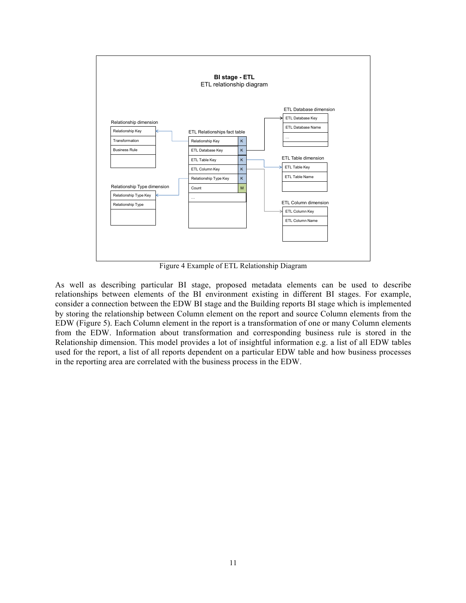

Figure 4 Example of ETL Relationship Diagram

As well as describing particular BI stage, proposed metadata elements can be used to describe relationships between elements of the BI environment existing in different BI stages. For example, consider a connection between the EDW BI stage and the Building reports BI stage which is implemented by storing the relationship between Column element on the report and source Column elements from the EDW (Figure 5). Each Column element in the report is a transformation of one or many Column elements from the EDW. Information about transformation and corresponding business rule is stored in the Relationship dimension. This model provides a lot of insightful information e.g. a list of all EDW tables used for the report, a list of all reports dependent on a particular EDW table and how business processes in the reporting area are correlated with the business process in the EDW.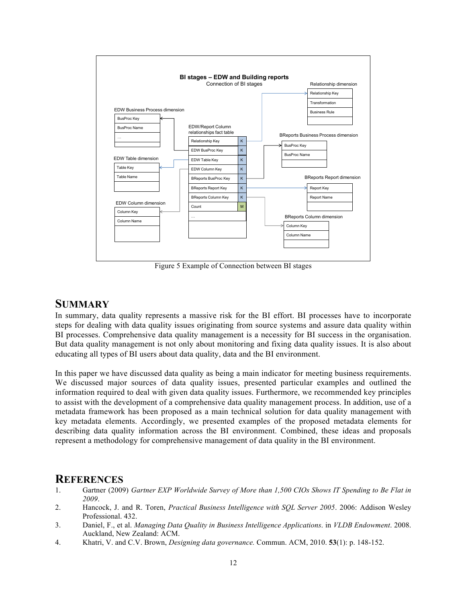

Figure 5 Example of Connection between BI stages

## **SUMMARY**

In summary, data quality represents a massive risk for the BI effort. BI processes have to incorporate steps for dealing with data quality issues originating from source systems and assure data quality within BI processes. Comprehensive data quality management is a necessity for BI success in the organisation. But data quality management is not only about monitoring and fixing data quality issues. It is also about educating all types of BI users about data quality, data and the BI environment.

In this paper we have discussed data quality as being a main indicator for meeting business requirements. We discussed major sources of data quality issues, presented particular examples and outlined the information required to deal with given data quality issues. Furthermore, we recommended key principles to assist with the development of a comprehensive data quality management process. In addition, use of a metadata framework has been proposed as a main technical solution for data quality management with key metadata elements. Accordingly, we presented examples of the proposed metadata elements for describing data quality information across the BI environment. Combined, these ideas and proposals represent a methodology for comprehensive management of data quality in the BI environment.

## **REFERENCES**

- 1. Gartner (2009) *Gartner EXP Worldwide Survey of More than 1,500 CIOs Shows IT Spending to Be Flat in 2009*.
- 2. Hancock, J. and R. Toren, *Practical Business Intelligence with SQL Server 2005*. 2006: Addison Wesley Professional. 432.
- 3. Daniel, F., et al. *Managing Data Quality in Business Intelligence Applications*. in *VLDB Endowment*. 2008. Auckland, New Zealand: ACM.
- 4. Khatri, V. and C.V. Brown, *Designing data governance.* Commun. ACM, 2010. **53**(1): p. 148-152.